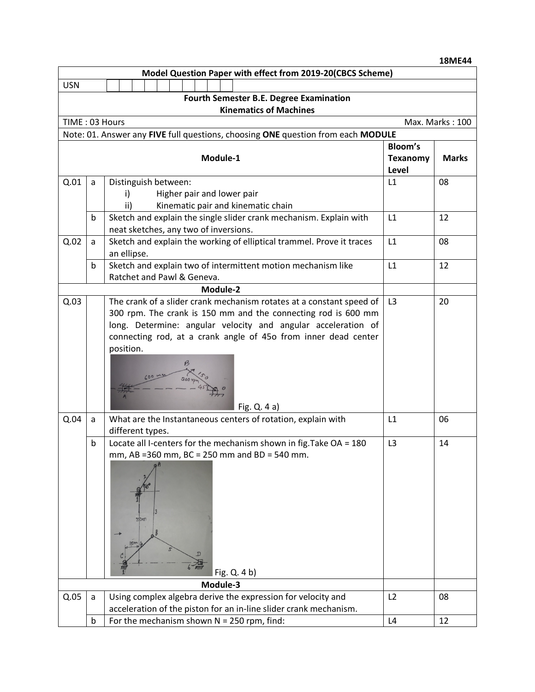|                      |             |                                                                    |       |                                    |                |                 |              |  |                                                                                                                                   |                | <b>18ME44</b>   |
|----------------------|-------------|--------------------------------------------------------------------|-------|------------------------------------|----------------|-----------------|--------------|--|-----------------------------------------------------------------------------------------------------------------------------------|----------------|-----------------|
|                      |             |                                                                    |       |                                    |                |                 |              |  | Model Question Paper with effect from 2019-20(CBCS Scheme)                                                                        |                |                 |
| <b>USN</b>           |             |                                                                    |       |                                    |                |                 |              |  |                                                                                                                                   |                |                 |
|                      |             |                                                                    |       |                                    |                |                 |              |  | <b>Fourth Semester B.E. Degree Examination</b>                                                                                    |                |                 |
|                      |             |                                                                    |       |                                    |                |                 |              |  | <b>Kinematics of Machines</b>                                                                                                     |                |                 |
| TIME: 03 Hours       |             |                                                                    |       |                                    |                |                 |              |  |                                                                                                                                   |                | Max. Marks: 100 |
|                      |             |                                                                    |       |                                    |                |                 |              |  | Note: 01. Answer any FIVE full questions, choosing ONE question from each MODULE                                                  |                |                 |
|                      |             |                                                                    |       |                                    |                |                 |              |  |                                                                                                                                   | <b>Bloom's</b> |                 |
| Module-1             |             |                                                                    |       |                                    |                | <b>Texanomy</b> | <b>Marks</b> |  |                                                                                                                                   |                |                 |
| Distinguish between: |             |                                                                    |       |                                    |                |                 | Level        |  |                                                                                                                                   |                |                 |
| Q.01                 | a           |                                                                    |       | L1                                 | 08             |                 |              |  |                                                                                                                                   |                |                 |
|                      |             | i)                                                                 |       | Higher pair and lower pair         |                |                 |              |  |                                                                                                                                   |                |                 |
|                      |             | ii)                                                                |       | Kinematic pair and kinematic chain | L1             |                 |              |  |                                                                                                                                   |                |                 |
|                      | b           | Sketch and explain the single slider crank mechanism. Explain with |       |                                    |                | 12              |              |  |                                                                                                                                   |                |                 |
| Q.02                 | a           | neat sketches, any two of inversions.                              |       |                                    |                |                 |              |  | Sketch and explain the working of elliptical trammel. Prove it traces                                                             | L1             | 08              |
|                      |             | an ellipse.                                                        |       |                                    |                |                 |              |  |                                                                                                                                   |                |                 |
|                      | b           |                                                                    |       |                                    |                |                 |              |  | Sketch and explain two of intermittent motion mechanism like                                                                      | L1             | 12              |
|                      |             | Ratchet and Pawl & Geneva.                                         |       |                                    |                |                 |              |  |                                                                                                                                   |                |                 |
|                      |             |                                                                    |       |                                    |                |                 | Module-2     |  |                                                                                                                                   |                |                 |
| Q.03                 |             |                                                                    |       |                                    |                |                 |              |  | The crank of a slider crank mechanism rotates at a constant speed of                                                              | L <sub>3</sub> | 20              |
|                      |             |                                                                    |       |                                    |                |                 |              |  | 300 rpm. The crank is 150 mm and the connecting rod is 600 mm                                                                     |                |                 |
|                      |             | long. Determine: angular velocity and angular acceleration of      |       |                                    |                |                 |              |  |                                                                                                                                   |                |                 |
|                      |             | connecting rod, at a crank angle of 45o from inner dead center     |       |                                    |                |                 |              |  |                                                                                                                                   |                |                 |
|                      |             | position.                                                          |       |                                    |                |                 |              |  |                                                                                                                                   |                |                 |
|                      |             |                                                                    |       |                                    |                |                 |              |  |                                                                                                                                   |                |                 |
|                      |             |                                                                    |       |                                    |                |                 |              |  |                                                                                                                                   |                |                 |
|                      |             |                                                                    |       |                                    |                |                 |              |  |                                                                                                                                   |                |                 |
|                      |             |                                                                    |       |                                    |                |                 |              |  |                                                                                                                                   |                |                 |
|                      |             |                                                                    |       |                                    |                |                 |              |  | Fig. $Q.4a$ )                                                                                                                     |                |                 |
| Q.04                 | a           |                                                                    |       |                                    |                |                 |              |  | What are the Instantaneous centers of rotation, explain with                                                                      | L1             | 06              |
|                      | b           | different types.                                                   |       |                                    | L <sub>3</sub> | 14              |              |  |                                                                                                                                   |                |                 |
|                      |             |                                                                    |       |                                    |                |                 |              |  | Locate all I-centers for the mechanism shown in fig. Take OA = 180<br>mm, AB =360 mm, BC = 250 mm and BD = 540 mm.                |                |                 |
|                      |             |                                                                    |       |                                    |                |                 |              |  |                                                                                                                                   |                |                 |
|                      |             |                                                                    |       |                                    |                |                 |              |  |                                                                                                                                   |                |                 |
|                      |             |                                                                    |       |                                    |                |                 |              |  |                                                                                                                                   |                |                 |
|                      |             |                                                                    |       |                                    |                |                 |              |  |                                                                                                                                   |                |                 |
|                      |             |                                                                    |       |                                    |                |                 |              |  |                                                                                                                                   |                |                 |
|                      |             |                                                                    | 350ml |                                    |                |                 |              |  |                                                                                                                                   |                |                 |
|                      |             |                                                                    |       |                                    |                |                 |              |  |                                                                                                                                   |                |                 |
|                      |             |                                                                    |       |                                    |                |                 |              |  |                                                                                                                                   |                |                 |
|                      |             |                                                                    |       |                                    |                |                 |              |  |                                                                                                                                   |                |                 |
|                      |             |                                                                    |       | Fig. Q. 4 b)                       |                |                 |              |  |                                                                                                                                   |                |                 |
|                      |             |                                                                    |       |                                    |                |                 | Module-3     |  |                                                                                                                                   |                |                 |
| Q.05                 | a           |                                                                    |       |                                    |                |                 |              |  | Using complex algebra derive the expression for velocity and<br>acceleration of the piston for an in-line slider crank mechanism. | L2             | 08              |
|                      |             |                                                                    |       |                                    |                |                 |              |  |                                                                                                                                   |                |                 |
|                      | $\mathsf b$ |                                                                    |       |                                    |                |                 |              |  | For the mechanism shown $N = 250$ rpm, find:                                                                                      | L4             | 12              |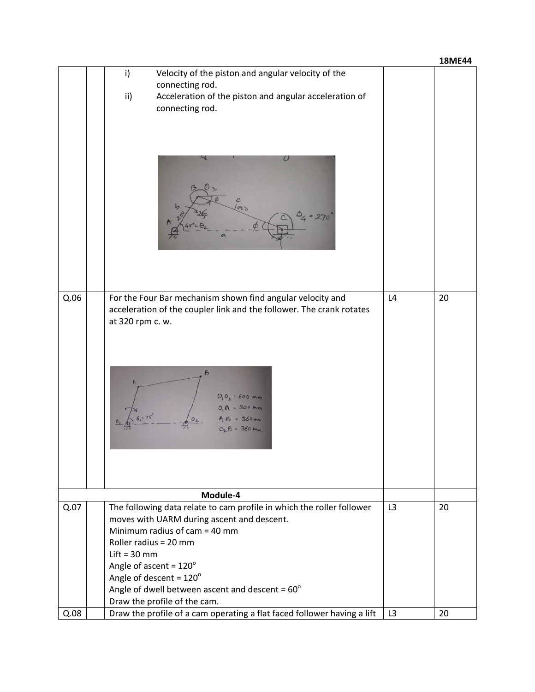|      |                                                                                                         |                | <b>18ME44</b> |  |  |  |
|------|---------------------------------------------------------------------------------------------------------|----------------|---------------|--|--|--|
|      | Velocity of the piston and angular velocity of the<br>i)                                                |                |               |  |  |  |
|      | connecting rod.                                                                                         |                |               |  |  |  |
|      | Acceleration of the piston and angular acceleration of<br>ii)                                           |                |               |  |  |  |
|      | connecting rod.                                                                                         |                |               |  |  |  |
|      |                                                                                                         |                |               |  |  |  |
|      |                                                                                                         |                |               |  |  |  |
|      |                                                                                                         |                |               |  |  |  |
|      | Ο                                                                                                       |                |               |  |  |  |
|      |                                                                                                         |                |               |  |  |  |
|      |                                                                                                         |                |               |  |  |  |
|      | $\mathcal{C}$                                                                                           |                |               |  |  |  |
|      | 00                                                                                                      |                |               |  |  |  |
|      |                                                                                                         |                |               |  |  |  |
|      |                                                                                                         |                |               |  |  |  |
|      |                                                                                                         |                |               |  |  |  |
|      |                                                                                                         |                |               |  |  |  |
|      |                                                                                                         |                |               |  |  |  |
|      |                                                                                                         |                |               |  |  |  |
| Q.06 | For the Four Bar mechanism shown find angular velocity and                                              | L4             | 20            |  |  |  |
|      | acceleration of the coupler link and the follower. The crank rotates                                    |                |               |  |  |  |
|      | at 320 rpm c. w.                                                                                        |                |               |  |  |  |
|      |                                                                                                         |                |               |  |  |  |
|      |                                                                                                         |                |               |  |  |  |
|      |                                                                                                         |                |               |  |  |  |
|      | B                                                                                                       |                |               |  |  |  |
|      |                                                                                                         |                |               |  |  |  |
|      | $=600$ mm                                                                                               |                |               |  |  |  |
|      |                                                                                                         |                |               |  |  |  |
|      |                                                                                                         |                |               |  |  |  |
|      |                                                                                                         |                |               |  |  |  |
|      |                                                                                                         |                |               |  |  |  |
|      |                                                                                                         |                |               |  |  |  |
|      |                                                                                                         |                |               |  |  |  |
|      |                                                                                                         |                |               |  |  |  |
|      | Module-4                                                                                                |                |               |  |  |  |
| Q.07 | The following data relate to cam profile in which the roller follower                                   | L3             | 20            |  |  |  |
|      | moves with UARM during ascent and descent.                                                              |                |               |  |  |  |
|      | Minimum radius of $cam = 40$ mm                                                                         |                |               |  |  |  |
|      | Roller radius = 20 mm                                                                                   |                |               |  |  |  |
|      | $Lift = 30$ mm                                                                                          |                |               |  |  |  |
|      | Angle of ascent = $120^\circ$                                                                           |                |               |  |  |  |
|      | Angle of descent = $120^\circ$                                                                          |                |               |  |  |  |
|      | Angle of dwell between ascent and descent = $60^{\circ}$                                                |                |               |  |  |  |
| Q.08 | Draw the profile of the cam.<br>Draw the profile of a cam operating a flat faced follower having a lift | L <sub>3</sub> | 20            |  |  |  |
|      |                                                                                                         |                |               |  |  |  |